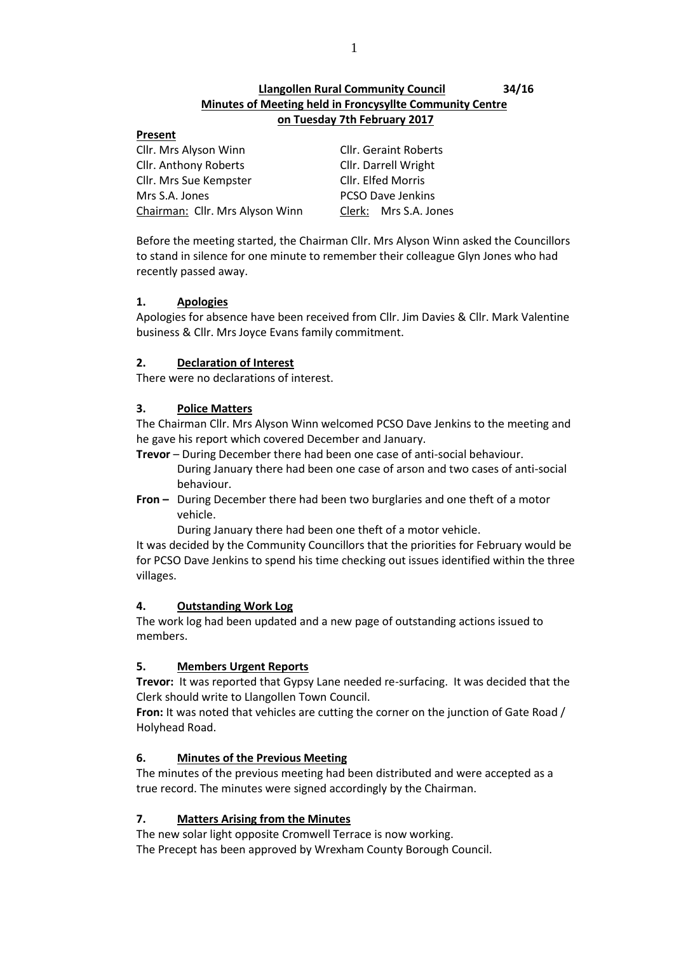# **Llangollen Rural Community Council 34/16 Minutes of Meeting held in Froncysyllte Community Centre on Tuesday 7th February 2017**

## **Present**

Cllr. Mrs Alyson Winn Cllr. Geraint Roberts Cllr. Anthony Roberts Cllr. Darrell Wright Cllr. Mrs Sue Kempster Cllr. Elfed Morris Mrs S.A. Jones **PCSO Dave Jenkins** Chairman: Cllr. Mrs Alyson Winn Clerk: Mrs S.A. Jones

Before the meeting started, the Chairman Cllr. Mrs Alyson Winn asked the Councillors to stand in silence for one minute to remember their colleague Glyn Jones who had recently passed away.

# **1. Apologies**

Apologies for absence have been received from Cllr. Jim Davies & Cllr. Mark Valentine business & Cllr. Mrs Joyce Evans family commitment.

# **2. Declaration of Interest**

There were no declarations of interest.

# **3. Police Matters**

The Chairman Cllr. Mrs Alyson Winn welcomed PCSO Dave Jenkins to the meeting and he gave his report which covered December and January.

- **Trevor** During December there had been one case of anti-social behaviour. During January there had been one case of arson and two cases of anti-social behaviour.
- **Fron –** During December there had been two burglaries and one theft of a motor vehicle.

During January there had been one theft of a motor vehicle.

It was decided by the Community Councillors that the priorities for February would be for PCSO Dave Jenkins to spend his time checking out issues identified within the three villages.

# **4. Outstanding Work Log**

The work log had been updated and a new page of outstanding actions issued to members.

# **5. Members Urgent Reports**

**Trevor:** It was reported that Gypsy Lane needed re-surfacing. It was decided that the Clerk should write to Llangollen Town Council.

**Fron:** It was noted that vehicles are cutting the corner on the junction of Gate Road / Holyhead Road.

# **6. Minutes of the Previous Meeting**

The minutes of the previous meeting had been distributed and were accepted as a true record. The minutes were signed accordingly by the Chairman.

# **7. Matters Arising from the Minutes**

The new solar light opposite Cromwell Terrace is now working. The Precept has been approved by Wrexham County Borough Council.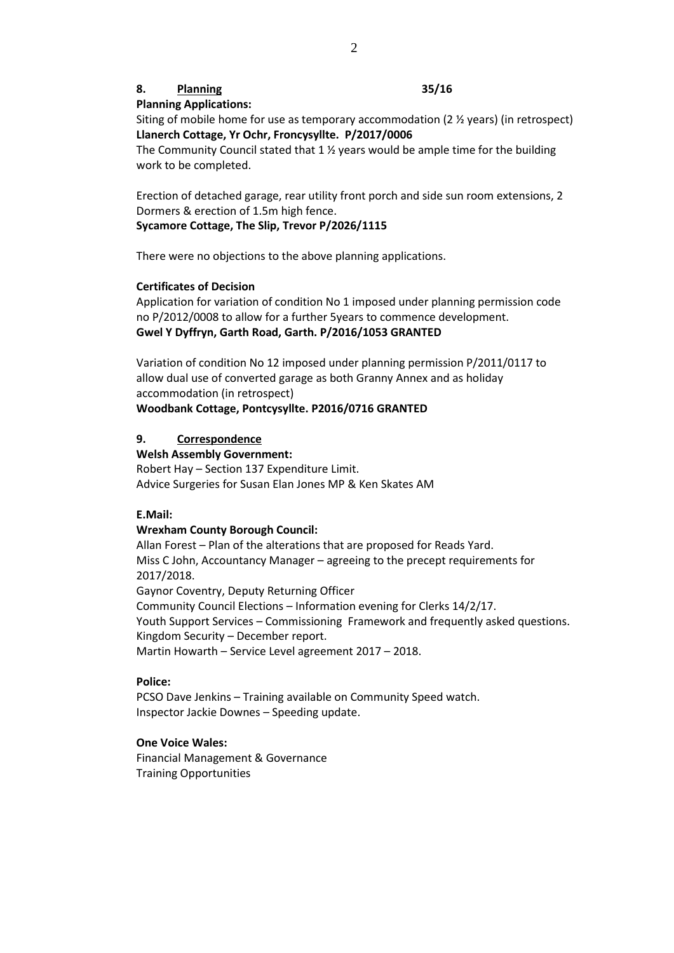# **8. Planning 35/16**

**Planning Applications:**

Siting of mobile home for use as temporary accommodation (2 ½ years) (in retrospect) **Llanerch Cottage, Yr Ochr, Froncysyllte. P/2017/0006**

The Community Council stated that 1 ½ years would be ample time for the building work to be completed.

Erection of detached garage, rear utility front porch and side sun room extensions, 2 Dormers & erection of 1.5m high fence.

#### **Sycamore Cottage, The Slip, Trevor P/2026/1115**

There were no objections to the above planning applications.

#### **Certificates of Decision**

Application for variation of condition No 1 imposed under planning permission code no P/2012/0008 to allow for a further 5years to commence development. **Gwel Y Dyffryn, Garth Road, Garth. P/2016/1053 GRANTED**

Variation of condition No 12 imposed under planning permission P/2011/0117 to allow dual use of converted garage as both Granny Annex and as holiday accommodation (in retrospect)

# **Woodbank Cottage, Pontcysyllte. P2016/0716 GRANTED**

### **9. Correspondence**

**Welsh Assembly Government:**

Robert Hay – Section 137 Expenditure Limit. Advice Surgeries for Susan Elan Jones MP & Ken Skates AM

#### **E.Mail:**

#### **Wrexham County Borough Council:**

Allan Forest – Plan of the alterations that are proposed for Reads Yard. Miss C John, Accountancy Manager – agreeing to the precept requirements for 2017/2018. Gaynor Coventry, Deputy Returning Officer Community Council Elections – Information evening for Clerks 14/2/17. Youth Support Services – Commissioning Framework and frequently asked questions. Kingdom Security – December report. Martin Howarth – Service Level agreement 2017 – 2018.

#### **Police:**

PCSO Dave Jenkins – Training available on Community Speed watch. Inspector Jackie Downes – Speeding update.

# **One Voice Wales:**

Financial Management & Governance Training Opportunities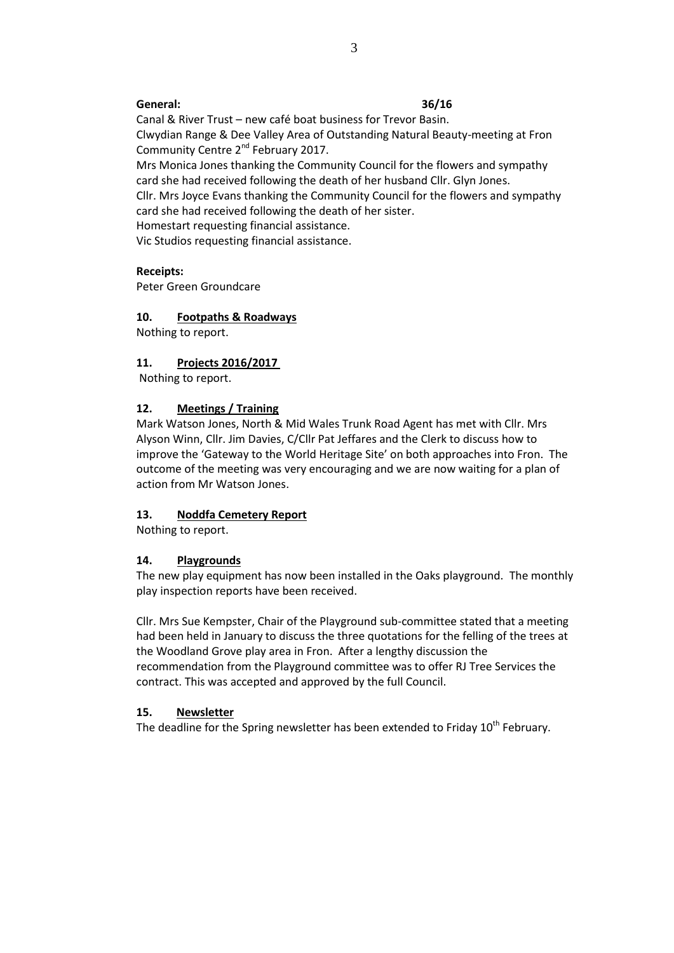## **General: 36/16**

Canal & River Trust – new café boat business for Trevor Basin. Clwydian Range & Dee Valley Area of Outstanding Natural Beauty-meeting at Fron Community Centre 2<sup>nd</sup> February 2017. Mrs Monica Jones thanking the Community Council for the flowers and sympathy card she had received following the death of her husband Cllr. Glyn Jones. Cllr. Mrs Joyce Evans thanking the Community Council for the flowers and sympathy card she had received following the death of her sister. Homestart requesting financial assistance. Vic Studios requesting financial assistance.

#### **Receipts:**

Peter Green Groundcare

# **10. Footpaths & Roadways**

Nothing to report.

## **11. Projects 2016/2017**

Nothing to report.

#### **12. Meetings / Training**

Mark Watson Jones, North & Mid Wales Trunk Road Agent has met with Cllr. Mrs Alyson Winn, Cllr. Jim Davies, C/Cllr Pat Jeffares and the Clerk to discuss how to improve the 'Gateway to the World Heritage Site' on both approaches into Fron. The outcome of the meeting was very encouraging and we are now waiting for a plan of action from Mr Watson Jones.

### **13. Noddfa Cemetery Report**

Nothing to report.

#### **14. Playgrounds**

The new play equipment has now been installed in the Oaks playground. The monthly play inspection reports have been received.

Cllr. Mrs Sue Kempster, Chair of the Playground sub-committee stated that a meeting had been held in January to discuss the three quotations for the felling of the trees at the Woodland Grove play area in Fron. After a lengthy discussion the recommendation from the Playground committee was to offer RJ Tree Services the contract. This was accepted and approved by the full Council.

#### **15. Newsletter**

The deadline for the Spring newsletter has been extended to Friday 10<sup>th</sup> February.